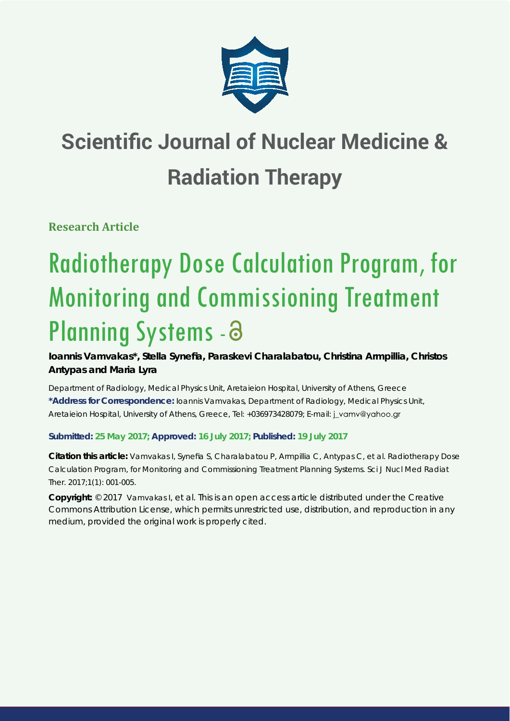

# **Scientific Journal of Nuclear Medicine & Radiation Therapy**

**Research Article**

# Radiotherapy Dose Calculation Program, for Monitoring and Commissioning Treatment Planning Systems - 8

**Ioannis Vamvakas\*, Stella Synefi a, Paraskevi Charalabatou, Christina Armpillia, Christos Antypas and Maria Lyra**

*Department of Radiology, Medical Physics Unit, Aretaieion Hospital, University of Athens, Greece* **\*Address for Correspondence:** Ioannis Vamvakas, Department of Radiology, Medical Physics Unit, Aretaieion Hospital, University of Athens, Greece, Tel: +036973428079; E-mail: j\_vamv@yahoo.gr

**Submitted: 25 May 2017; Approved: 16 July 2017; Published: 19 July 2017**

**Citation this article:** Vamvakas I, Synefia S, Charalabatou P, Armpillia C, Antypas C, et al. Radiotherapy Dose Calculation Program, for Monitoring and Commissioning Treatment Planning Systems. Sci J Nucl Med Radiat Ther. 2017;1(1): 001-005.

**Copyright:** © 2017 Vamvakas I, et al. This is an open access article distributed under the Creative Commons Attribution License, which permits unrestricted use, distribution, and reproduction in any medium, provided the original work is properly cited.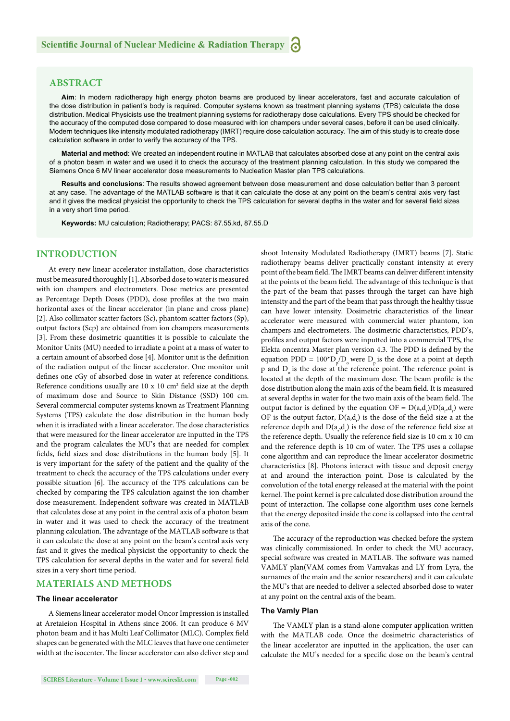# **ABSTRACT**

**Aim**: In modern radiotherapy high energy photon beams are produced by linear accelerators, fast and accurate calculation of the dose distribution in patient's body is required. Computer systems known as treatment planning systems (TPS) calculate the dose distribution. Medical Physicists use the treatment planning systems for radiotherapy dose calculations. Every TPS should be checked for the accuracy of the computed dose compared to dose measured with ion champers under several cases, before it can be used clinically. Modern techniques like intensity modulated radiotherapy (IMRT) require dose calculation accuracy. The aim of this study is to create dose calculation software in order to verify the accuracy of the TPS.

**Material and method**: We created an independent routine in MATLAB that calculates absorbed dose at any point on the central axis of a photon beam in water and we used it to check the accuracy of the treatment planning calculation. In this study we compared the Siemens Once 6 MV linear accelerator dose measurements to Nucleation Master plan TPS calculations.

**Results and conclusions**: The results showed agreement between dose measurement and dose calculation better than 3 percent at any case. The advantage of the MATLAB software is that it can calculate the dose at any point on the beam's central axis very fast and it gives the medical physicist the opportunity to check the TPS calculation for several depths in the water and for several field sizes in a very short time period.

**Keywords:** MU calculation; Radiotherapy; PACS: 87.55.kd, 87.55.D

#### **INTRODUCTION**

At every new linear accelerator installation, dose characteristics must be measured thoroughly [1]. Absorbed dose to water is measured with ion champers and electrometers. Dose metrics are presented as Percentage Depth Doses (PDD), dose profiles at the two main horizontal axes of the linear accelerator (in plane and cross plane) [2]. Also collimator scatter factors (Sc), phantom scatter factors (Sp), output factors (Scp) are obtained from ion champers measurements [3]. From these dosimetric quantities it is possible to calculate the Monitor Units (MU) needed to irradiate a point at a mass of water to a certain amount of absorbed dose [4]. Monitor unit is the definition of the radiation output of the linear accelerator. One monitor unit defines one cGy of absorbed dose in water at reference conditions. Reference conditions usually are  $10 \times 10$  cm<sup>2</sup> field size at the depth of maximum dose and Source to Skin Distance (SSD) 100 cm. Several commercial computer systems known as Treatment Planning Systems (TPS) calculate the dose distribution in the human body when it is irradiated with a linear accelerator. The dose characteristics that were measured for the linear accelerator are inputted in the TPS and the program calculates the MU's that are needed for complex fields, field sizes and dose distributions in the human body [5]. It is very important for the safety of the patient and the quality of the treatment to check the accuracy of the TPS calculations under every possible situation [6]. The accuracy of the TPS calculations can be checked by comparing the TPS calculation against the ion chamber dose measurement. Independent software was created in MATLAB that calculates dose at any point in the central axis of a photon beam in water and it was used to check the accuracy of the treatment planning calculation. The advantage of the MATLAB software is that it can calculate the dose at any point on the beam's central axis very fast and it gives the medical physicist the opportunity to check the TPS calculation for several depths in the water and for several field sizes in a very short time period.

#### **MATERIALS AND METHODS**

#### **The linear accelerator**

A Siemens linear accelerator model Oncor Impression is installed at Aretaieion Hospital in Athens since 2006. It can produce 6 MV photon beam and it has Multi Leaf Collimator (MLC). Complex field shapes can be generated with the MLC leaves that have one centimeter width at the isocenter. The linear accelerator can also deliver step and

shoot Intensity Modulated Radiotherapy (IMRT) beams [7]. Static radiotherapy beams deliver practically constant intensity at every point of the beam field. The IMRT beams can deliver different intensity at the points of the beam field. The advantage of this technique is that the part of the beam that passes through the target can have high intensity and the part of the beam that pass through the healthy tissue can have lower intensity. Dosimetric characteristics of the linear accelerator were measured with commercial water phantom, ion champers and electrometers. The dosimetric characteristics, PDD's, profiles and output factors were inputted into a commercial TPS, the Elekta oncentra Master plan version 4.3. The PDD is defined by the equation PDD =  $100^{\circ}D_{p}/D_{o}$  were  $D_{p}$  is the dose at a point at depth p and D<sub>o</sub> is the dose at the reference point. The reference point is located at the depth of the maximum dose. The beam profile is the dose distribution along the main axis of the beam field. It is measured at several depths in water for the two main axis of the beam field. The output factor is defined by the equation OF =  $D(a,d<sub>r</sub>)/D(a<sub>r</sub>,d<sub>r</sub>)$  were OF is the output factor,  $D(a,d)$  is the dose of the field size a at the reference depth and  $D(a_i, d_i)$  is the dose of the reference field size at the reference depth. Usually the reference field size is 10 cm x 10 cm and the reference depth is 10 cm of water. The TPS uses a collapse cone algorithm and can reproduce the linear accelerator dosimetric characteristics [8]. Photons interact with tissue and deposit energy at and around the interaction point. Dose is calculated by the convolution of the total energy released at the material with the point kernel. The point kernel is pre calculated dose distribution around the point of interaction. The collapse cone algorithm uses cone kernels that the energy deposited inside the cone is collapsed into the central axis of the cone.

The accuracy of the reproduction was checked before the system was clinically commissioned. In order to check the MU accuracy, special software was created in MATLAB. The software was named VAMLY plan(VAM comes from Vamvakas and LY from Lyra, the surnames of the main and the senior researchers) and it can calculate the MU's that are needed to deliver a selected absorbed dose to water at any point on the central axis of the beam.

#### **The Vamly Plan**

The VAMLY plan is a stand-alone computer application written with the MATLAB code. Once the dosimetric characteristics of the linear accelerator are inputted in the application, the user can calculate the MU's needed for a specific dose on the beam's central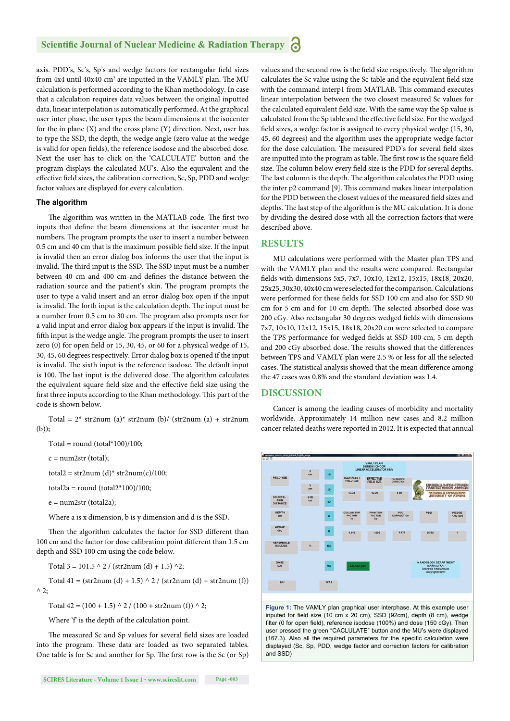axis. PDD's, Sc's, Sp's and wedge factors for rectangular field sizes from  $4x4$  until  $40x40$  cm<sup>2</sup> are inputted in the VAMLY plan. The MU calculation is performed according to the Khan methodology. In case that a calculation requires data values between the original inputted data, linear interpolation is automatically performed. At the graphical user inter phase, the user types the beam dimensions at the isocenter for the in plane (X) and the cross plane (Y) direction. Next, user has to type the SSD, the depth, the wedge angle (zero value at the wedge is valid for open fields), the reference isodose and the absorbed dose. Next the user has to click on the 'CALCULATE' button and the program displays the calculated MU's. Also the equivalent and the effective field sizes, the calibration correction, Sc, Sp, PDD and wedge factor values are displayed for every calculation.

#### **The algorithm**

The algorithm was written in the MATLAB code. The first two inputs that define the beam dimensions at the isocenter must be numbers. The program prompts the user to insert a number between 0.5 cm and 40 cm that is the maximum possible field size. If the input is invalid then an error dialog box informs the user that the input is invalid. The third input is the SSD. The SSD input must be a number between 40 cm and 400 cm and defines the distance between the radiation source and the patient's skin. The program prompts the user to type a valid insert and an error dialog box open if the input is invalid. The forth input is the calculation depth. The input must be a number from 0.5 cm to 30 cm. The program also prompts user for a valid input and error dialog box appears if the input is invalid. The fifth input is the wedge angle. The program prompts the user to insert zero  $(0)$  for open field or 15, 30, 45, or 60 for a physical wedge of 15, 30, 45, 60 degrees respectively. Error dialog box is opened if the input is invalid. The sixth input is the reference isodose. The default input is 100. The last input is the delivered dose. The algorithm calculates the equivalent square field size and the effective field size using the first three inputs according to the Khan methodology. This part of the code is shown below.

Total =  $2^*$  str2num (a)\* str2num (b)/ (str2num (a) + str2num (b));

Total = round (total\*100)/100;

 $c = num2str (total);$ 

total2 = str2num (d)\* str2num(c)/100;

total $2a =$ round (total $2*100$ )/100;

 $e = num2str (total2a);$ 

Where a is x dimension, b is y dimension and d is the SSD.

Then the algorithm calculates the factor for SSD different than 100 cm and the factor for dose calibration point different than 1.5 cm depth and SSD 100 cm using the code below.

Total  $3 = 101.5 \land 2 / (str2num (d) + 1.5) \land 2;$ 

Total  $41 = (str2num (d) + 1.5) \land 2 / (str2num (d) + str2num (f))$  $\wedge$  2;

Total  $42 = (100 + 1.5) \land 2 / (100 + str2num(f)) \land 2$ ;

Where 'f' is the depth of the calculation point.

The measured Sc and Sp values for several field sizes are loaded into the program. These data are loaded as two separated tables. One table is for Sc and another for Sp. The first row is the Sc (or Sp) values and the second row is the field size respectively. The algorithm calculates the Sc value using the Sc table and the equivalent field size with the command interp1 from MATLAB. This command executes linear interpolation between the two closest measured Sc values for the calculated equivalent field size. With the same way the Sp value is calculated from the Sp table and the effective field size. For the wedged field sizes, a wedge factor is assigned to every physical wedge (15, 30, 45, 60 degrees) and the algorithm uses the appropriate wedge factor for the dose calculation. The measured PDD's for several field sizes are inputted into the program as table. The first row is the square field size. The column below every field size is the PDD for several depths. The last column is the depth. The algorithm calculates the PDD using the inter p2 command [9]. This command makes linear interpolation for the PDD between the closest values of the measured field sizes and depths. The last step of the algorithm is the MU calculation. It is done by dividing the desired dose with all the correction factors that were described above.

# **RESULTS**

MU calculations were performed with the Master plan TPS and with the VAMLY plan and the results were compared. Rectangular fields with dimensions 5x5, 7x7, 10x10, 12x12, 15x15, 18x18, 20x20, 25x25, 30x30, 40x40 cm were selected for the comparison. Calculations were performed for these fields for SSD 100 cm and also for SSD 90 cm for 5 cm and for 10 cm depth. The selected absorbed dose was 200 cGy. Also rectangular 30 degrees wedged fields with dimensions 7x7, 10x10, 12x12, 15x15, 18x18, 20x20 cm were selected to compare the TPS performance for wedged fields at SSD 100 cm, 5 cm depth and 200 cGy absorbed dose. The results showed that the differences between TPS and VAMLY plan were 2.5 % or less for all the selected cases. The statistical analysis showed that the mean difference among the 47 cases was 0.8% and the standard deviation was 1.4.

#### **DISCUSSION**

Cancer is among the leading causes of morbidity and mortality worldwide. Approximately 14 million new cases and 8.2 million cancer related deaths were reported in 2012. It is expected that annual



**Figure 1:** The VAMLY plan graphical user interphase. At this example user inputed for field size (10 cm x 20 cm), SSD (92cm), depth  $(8 \text{ cm})$ , wedge filter (0 for open field), reference isodose (100%) and dose (150 cGy). Then user pressed the green "CACLULATE" button and the MU's were displayed (167.3). Also all the required parameters for the specific calculation were displayed (Sc, Sp, PDD, wedge factor and correction factors for calibration and SSD)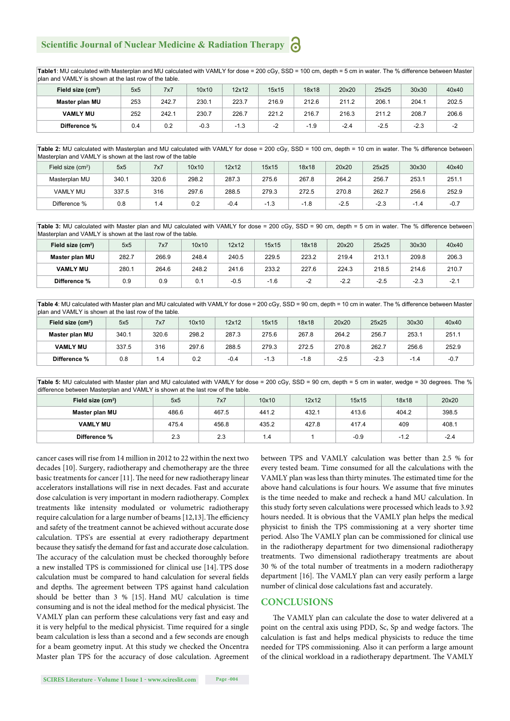# **Scientific Journal of Nuclear Medicine & Radiation Therapy**

Table1: MU calculated with Masterplan and MU calculated with VAMLY for dose = 200 cGy, SSD = 100 cm, depth = 5 cm in water. The % difference between Master plan and VAMLY is shown at the last row of the table.

| Field size (cm <sup>2</sup> ) | 5x5 | 7x7   | 10x10  | 12x12  | 15x15 | 18x18 | 20x20  | 25x25  | 30x30  | 40x40 |
|-------------------------------|-----|-------|--------|--------|-------|-------|--------|--------|--------|-------|
| Master plan MU                | 253 | 242.7 | 230.1  | 223.7  | 216.9 | 212.6 | 211.2  | 206.1  | 204.1  | 202.5 |
| <b>VAMLY MU</b>               | 252 | 242.1 | 230.7  | 226.7  | 221.2 | 216.7 | 216.3  | 211.2  | 208.7  | 206.6 |
| Difference %                  | 0.4 | 0.2   | $-0.3$ | $-1.3$ |       | -1.9  | $-2.4$ | $-2.5$ | $-2.3$ | -2    |

Table 2: MU calculated with Masterplan and MU calculated with VAMLY for dose = 200 cGy, SSD = 100 cm, depth = 10 cm in water. The % difference between Masterplan and VAMLY is shown at the last row of the table

| Field size $(cm2)$ | 5x5   | 7x7   | 10x10 | 12x12  | 15x15  | 18x18  | 20x20  | 25x25  | 30x30                           | 40x40  |
|--------------------|-------|-------|-------|--------|--------|--------|--------|--------|---------------------------------|--------|
| Masterplan MU      | 340.1 | 320.6 | 298.2 | 287.3  | 275.6  | 267.8  | 264.2  | 256.7  | 253.1                           | 251.1  |
| <b>VAMLY MU</b>    | 337.5 | 316   | 297.6 | 288.5  | 279.3  | 272.5  | 270.8  | 262.7  | 256.6                           | 252.9  |
| Difference %       | 0.8   | . .4  | 0.2   | $-0.4$ | $-1.3$ | $-1.8$ | $-2.5$ | $-2.3$ | 1.4<br>$\overline{\phantom{0}}$ | $-0.7$ |

**Table 3:** MU calculated with Master plan and MU calculated with VAMLY for dose = 200 cGy, SSD = 90 cm, depth = 5 cm in water. The % difference between Masterplan and VAMLY is shown at the last row of the table*.*

| Field size (cm <sup>2</sup> ) | 5x5   | 7x7   | 10x10 | 12x12  | 15x15  | 18x18 | 20x20  | 25x25 | 30x30  | 40x40  |
|-------------------------------|-------|-------|-------|--------|--------|-------|--------|-------|--------|--------|
| Master plan MU                | 282.7 | 266.9 | 248.4 | 240.5  | 229.5  | 223.2 | 219.4  | 213.1 | 209.8  | 206.3  |
| <b>VAMLY MU</b>               | 280.1 | 264.6 | 248.2 | 241.6  | 233.2  | 227.6 | 224.3  | 218.5 | 214.6  | 210.7  |
| Difference %                  | 0.9   | 0.9   | 0.1   | $-0.5$ | $-1.6$ | -2    | $-2.2$ | -2.5  | $-2.3$ | $-2.1$ |

**Table 4**: MU calculated with Master plan and MU calculated with VAMLY for dose = 200 cGy, SSD = 90 cm, depth = 10 cm in water. The % difference between Master plan and VAMLY is shown at the last row of the table*.*

| Field size (cm <sup>2</sup> ) | 5x5   | 7x7   | 10x10 | 12x12  | 15x15  | 18x18  | 20x20  | 25x25  | 30x30  | 40x40  |
|-------------------------------|-------|-------|-------|--------|--------|--------|--------|--------|--------|--------|
| Master plan MU                | 340.1 | 320.6 | 298.2 | 287.3  | 275.6  | 267.8  | 264.2  | 256.   | 253.   | 251.1  |
| <b>VAMLY MU</b>               | 337.5 | 316   | 297.6 | 288.5  | 279.3  | 272.5  | 270.8  | 262.7  | 256.6  | 252.9  |
| Difference %                  | 0.8   | . 4   | 0.2   | $-0.4$ | $-1.3$ | $-1.8$ | $-2.5$ | $-2.3$ | $-1.4$ | $-0.7$ |

Table 5: MU calculated with Master plan and MU calculated with VAMLY for dose = 200 cGy, SSD = 90 cm, depth = 5 cm in water, wedge = 30 degrees. The % difference between Masterplan and VAMLY is shown at the last row of the table.

| Field size $(cm2)$ | 5x5   | 7x7   | 10x10 | 12x12 | 15x15  | 18x18  | 20x20  |
|--------------------|-------|-------|-------|-------|--------|--------|--------|
| Master plan MU     | 486.6 | 467.5 | 441.2 | 432.1 | 413.6  | 404.2  | 398.5  |
| <b>VAMLY MU</b>    | 475.4 | 456.8 | 435.2 | 427.8 | 417.4  | 409    | 408.1  |
| Difference %       | 2.3   | 2.3   | 1.4   |       | $-0.9$ | $-1.2$ | $-2.4$ |

cancer cases will rise from 14 million in 2012 to 22 within the next two decades [10]. Surgery, radiotherapy and chemotherapy are the three basic treatments for cancer [11]. The need for new radiotherapy linear accelerators installations will rise in next decades. Fast and accurate dose calculation is very important in modern radiotherapy. Complex treatments like intensity modulated or volumetric radiotherapy require calculation for a large number of beams [12,13]. The efficiency and safety of the treatment cannot be achieved without accurate dose calculation. TPS's are essential at every radiotherapy department because they satisfy the demand for fast and accurate dose calculation. The accuracy of the calculation must be checked thoroughly before a new installed TPS is commissioned for clinical use [14]. TPS dose calculation must be compared to hand calculation for several fields and depths. The agreement between TPS against hand calculation should be better than 3 % [15]. Hand MU calculation is time consuming and is not the ideal method for the medical physicist. The VAMLY plan can perform these calculations very fast and easy and it is very helpful to the medical physicist. Time required for a single beam calculation is less than a second and a few seconds are enough for a beam geometry input. At this study we checked the Oncentra Master plan TPS for the accuracy of dose calculation. Agreement between TPS and VAMLY calculation was better than 2.5 % for every tested beam. Time consumed for all the calculations with the VAMLY plan was less than thirty minutes. The estimated time for the above hand calculations is four hours. We assume that five minutes is the time needed to make and recheck a hand MU calculation. In this study forty seven calculations were processed which leads to 3.92 hours needed. It is obvious that the VAMLY plan helps the medical physicist to finish the TPS commissioning at a very shorter time period. Also The VAMLY plan can be commissioned for clinical use in the radiotherapy department for two dimensional radiotherapy treatments. Two dimensional radiotherapy treatments are about 30 % of the total number of treatments in a modern radiotherapy department [16]. The VAMLY plan can very easily perform a large number of clinical dose calculations fast and accurately.

#### **CONCLUSIONS**

The VAMLY plan can calculate the dose to water delivered at a point on the central axis using PDD, Sc, Sp and wedge factors. The calculation is fast and helps medical physicists to reduce the time needed for TPS commissioning. Also it can perform a large amount of the clinical workload in a radiotherapy department. The VAMLY